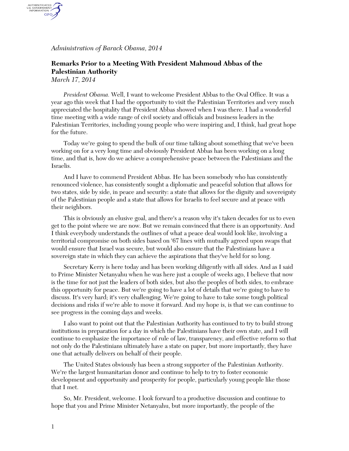*Administration of Barack Obama, 2014*

## **Remarks Prior to a Meeting With President Mahmoud Abbas of the Palestinian Authority**

*March 17, 2014*

AUTHENTICATED<br>U.S. GOVERNMENT<br>INFORMATION GPO.

> *President Obama.* Well, I want to welcome President Abbas to the Oval Office. It was a year ago this week that I had the opportunity to visit the Palestinian Territories and very much appreciated the hospitality that President Abbas showed when I was there. I had a wonderful time meeting with a wide range of civil society and officials and business leaders in the Palestinian Territories, including young people who were inspiring and, I think, had great hope for the future.

Today we're going to spend the bulk of our time talking about something that we've been working on for a very long time and obviously President Abbas has been working on a long time, and that is, how do we achieve a comprehensive peace between the Palestinians and the Israelis.

And I have to commend President Abbas. He has been somebody who has consistently renounced violence, has consistently sought a diplomatic and peaceful solution that allows for two states, side by side, in peace and security: a state that allows for the dignity and sovereignty of the Palestinian people and a state that allows for Israelis to feel secure and at peace with their neighbors.

This is obviously an elusive goal, and there's a reason why it's taken decades for us to even get to the point where we are now. But we remain convinced that there is an opportunity. And I think everybody understands the outlines of what a peace deal would look like, involving a territorial compromise on both sides based on '67 lines with mutually agreed upon swaps that would ensure that Israel was secure, but would also ensure that the Palestinians have a sovereign state in which they can achieve the aspirations that they've held for so long.

Secretary Kerry is here today and has been working diligently with all sides. And as I said to Prime Minister Netanyahu when he was here just a couple of weeks ago, I believe that now is the time for not just the leaders of both sides, but also the peoples of both sides, to embrace this opportunity for peace. But we're going to have a lot of details that we're going to have to discuss. It's very hard; it's very challenging. We're going to have to take some tough political decisions and risks if we're able to move it forward. And my hope is, is that we can continue to see progress in the coming days and weeks.

I also want to point out that the Palestinian Authority has continued to try to build strong institutions in preparation for a day in which the Palestinians have their own state, and I will continue to emphasize the importance of rule of law, transparency, and effective reform so that not only do the Palestinians ultimately have a state on paper, but more importantly, they have one that actually delivers on behalf of their people.

The United States obviously has been a strong supporter of the Palestinian Authority. We're the largest humanitarian donor and continue to help to try to foster economic development and opportunity and prosperity for people, particularly young people like those that I met.

So, Mr. President, welcome. I look forward to a productive discussion and continue to hope that you and Prime Minister Netanyahu, but more importantly, the people of the